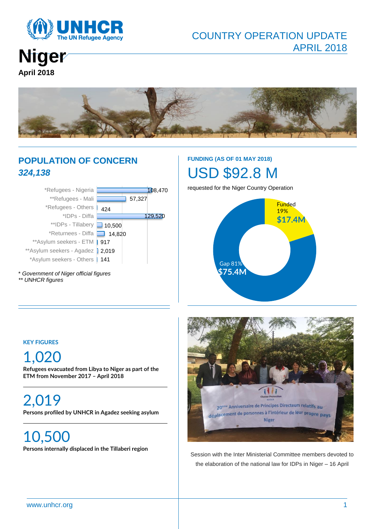

# COUNTRY OPERATION UPDATE APRIL 2018

**Niger April 2018**



# **POPULATION OF CONCERN** *324,138*



\* *Government of Niger official figures \*\* UNHCR figures*

# **FUNDING (AS OF 01 MAY 2018)** USD \$92.8 M

requested for the Niger Country Operation



#### **KEY FIGURES**

# 1,020

**Refugees evacuated from Libya to Niger as part of the ETM from November 2017 – April 2018**

2,019 **Persons profiled by UNHCR in Agadez seeking asylum**

10,500 **Persons internally displaced in the Tillaberi region**



Session with the Inter Ministerial Committee members devoted to the elaboration of the national law for IDPs in Niger – 16 April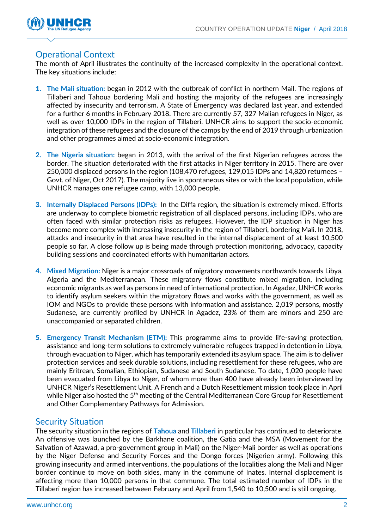

# Operational Context

The month of April illustrates the continuity of the increased complexity in the operational context. The key situations include:

- **1. The Mali situation:** began in 2012 with the outbreak of conflict in northern Mail. The regions of Tillaberi and Tahoua bordering Mali and hosting the majority of the refugees are increasingly affected by insecurity and terrorism. A State of Emergency was declared last year, and extended for a further 6 months in February 2018. There are currently 57, 327 Malian refugees in Niger, as well as over 10,000 IDPs in the region of Tillaberi. UNHCR aims to support the socio-economic integration of these refugees and the closure of the camps by the end of 2019 through urbanization and other programmes aimed at socio-economic integration.
- **2. The Nigeria situation:** began in 2013, with the arrival of the first Nigerian refugees across the border. The situation deteriorated with the first attacks in Niger territory in 2015. There are over 250,000 displaced persons in the region (108,470 refugees, 129,015 IDPs and 14,820 returnees – Govt. of Niger, Oct 2017). The majority live in spontaneous sites or with the local population, while UNHCR manages one refugee camp, with 13,000 people.
- **3. Internally Displaced Persons (IDPs):** In the Diffa region, the situation is extremely mixed. Efforts are underway to complete biometric registration of all displaced persons, including IDPs, who are often faced with similar protection risks as refugees. However, the IDP situation in Niger has become more complex with increasing insecurity in the region of Tillaberi, bordering Mali. In 2018, attacks and insecurity in that area have resulted in the internal displacement of at least 10,500 people so far. A close follow up is being made through protection monitoring, advocacy, capacity building sessions and coordinated efforts with humanitarian actors.
- **4. Mixed Migration:** Niger is a major crossroads of migratory movements northwards towards Libya, Algeria and the Mediterranean. These migratory flows constitute mixed migration, including economic migrants as well as persons in need of international protection. In Agadez, UNHCR works to identify asylum seekers within the migratory flows and works with the government, as well as IOM and NGOs to provide these persons with information and assistance. 2,019 persons, mostly Sudanese, are currently profiled by UNHCR in Agadez, 23% of them are minors and 250 are unaccompanied or separated children.
- **5. Emergency Transit Mechanism (ETM):** This programme aims to provide life-saving protection, assistance and long-term solutions to extremely vulnerable refugees trapped in detention in Libya, through evacuation to Niger, which has temporarily extended its asylum space. The aim is to deliver protection services and seek durable solutions, including resettlement for these refugees, who are mainly Eritrean, Somalian, Ethiopian, Sudanese and South Sudanese. To date, 1,020 people have been evacuated from Libya to Niger, of whom more than 400 have already been interviewed by UNHCR Niger's Resettlement Unit. A French and a Dutch Resettlement mission took place in April while Niger also hosted the 5<sup>th</sup> meeting of the Central Mediterranean Core Group for Resettlement and Other Complementary Pathways for Admission.

### Security Situation

The security situation in the regions of **Tahoua** and **Tillaberi** in particular has continued to deteriorate. An offensive was launched by the Barkhane coalition, the Gatia and the MSA (Movement for the Salvation of Azawad, a pro-government group in Mali) on the Niger-Mali border as well as operations by the Niger Defense and Security Forces and the Dongo forces (Nigerien army). Following this growing insecurity and armed interventions, the populations of the localities along the Mali and Niger border continue to move on both sides, many in the commune of Inates. Internal displacement is affecting more than 10,000 persons in that commune. The total estimated number of IDPs in the Tillaberi region has increased between February and April from 1,540 to 10,500 and is still ongoing.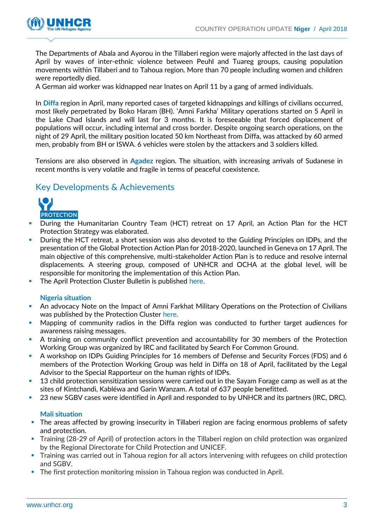

The Departments of Abala and Ayorou in the Tillaberi region were majorly affected in the last days of April by waves of inter-ethnic violence between Peuhl and Tuareg groups, causing population movements within Tillaberi and to Tahoua region. More than 70 people including women and children were reportedly died.

A German aid worker was kidnapped near Inates on April 11 by a gang of armed individuals.

In **Diffa** region in April, many reported cases of targeted kidnappings and killings of civilians occurred, most likely perpetrated by Boko Haram (BH). 'Amni Farkha' Military operations started on 5 April in the Lake Chad Islands and will last for 3 months. It is foreseeable that forced displacement of populations will occur, including internal and cross border. Despite ongoing search operations, on the night of 29 April, the military position located 50 km Northeast from Diffa, was attacked by 60 armed men, probably from BH or ISWA. 6 vehicles were stolen by the attackers and 3 soldiers killed.

Tensions are also observed in **Agadez** region. The situation, with increasing arrivals of Sudanese in recent months is very volatile and fragile in terms of peaceful coexistence.

### Key Developments & Achievements



- During the Humanitarian Country Team (HCT) retreat on 17 April, an Action Plan for the HCT Protection Strategy was elaborated.
- During the HCT retreat, a short session was also devoted to the Guiding Principles on IDPs, and the presentation of the Global Protection Action Plan for 2018-2020, launched in Geneva on 17 April. The main objective of this comprehensive, multi-stakeholder Action Plan is to reduce and resolve internal displacements. A steering group, composed of UNHCR and OCHA at the global level, will be responsible for monitoring the implementation of this Action Plan.
- The April Protection Cluster Bulletin is published [here.](https://www.humanitarianresponse.info/en/operations/niger/document/niger-bulletin-protection-avril-2018)

#### **Nigeria situation**

- An advocacy Note on the Impact of Amni Farkhat Military Operations on the Protection of Civilians was published by the Protection Cluster [here.](https://www.humanitarianresponse.info/en/operations/niger/document/niger-impact-des-op%C3%A9rations-de-la-force-multinationale-mixte-amni-farkhat)
- Mapping of community radios in the Diffa region was conducted to further target audiences for awareness raising messages.
- A training on community conflict prevention and accountability for 30 members of the Protection Working Group was organized by IRC and facilitated by Search For Common Ground.
- A workshop on IDPs Guiding Principles for 16 members of Defense and Security Forces (FDS) and 6 members of the Protection Working Group was held in Diffa on 18 of April, facilitated by the Legal Advisor to the Special Rapporteur on the human rights of IDPs.
- 13 child protection sensitization sessions were carried out in the Sayam Forage camp as well as at the sites of Kintchandi, Kabléwa and Garin Wanzam. A total of 637 people benefitted.
- 23 new SGBV cases were identified in April and responded to by UNHCR and its partners (IRC, DRC).

#### **Mali situation**

- The areas affected by growing insecurity in Tillaberi region are facing enormous problems of safety and protection.
- Training (28-29 of April) of protection actors in the Tillaberi region on child protection was organized by the Regional Directorate for Child Protection and UNICEF.
- Training was carried out in Tahoua region for all actors intervening with refugees on child protection and SGBV.
- **The first protection monitoring mission in Tahoua region was conducted in April.**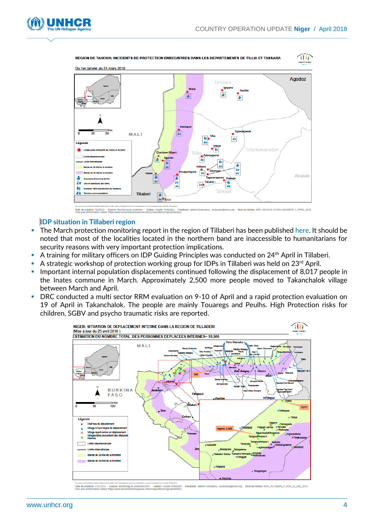itir



REGION DE TAHOUA: INCIDENTS DE PROTECTION ENREGISTRES DANS LES DEPARTEMENTS DE TILLIA ET TASSARA



**on: 5/4/2018 Source: M**<br>hrmation visitor: https://www

#### **IDP situation in Tillaberi region**

- The March protection monitoring report in the region of Tillaberi has been published [here.](https://www.humanitarianresponse.info/sites/www.humanitarianresponse.info/files/documents/files/rapport_monitoring_protection_tillaberi_mars_2018.pdf) It should be noted that most of the localities located in the northern band are inaccessible to humanitarians for security reasons with very important protection implications.
- A training for military officers on IDP Guiding Principles was conducted on 24<sup>th</sup> April in Tillaberi.
- A strategic workshop of protection working group for IDPs in Tillaberi was held on 23<sup>rd</sup> April.
- Important internal population displacements continued following the displacement of 8,017 people in the Inates commune in March. Approximately 2,500 more people moved to Takanchalok village between March and April.
- DRC conducted a multi sector RRM evaluation on 9-10 of April and a rapid protection evaluation on 19 of April in Takanchalok. The people are mainly Touaregs and Peulhs. High Protection risks for children, SGBV and psycho traumatic risks are reported.



Date de création: 27/4 2018 Auteur: Cluster P NER\_TILLABERI\_FLASH\_25\_avril\_2018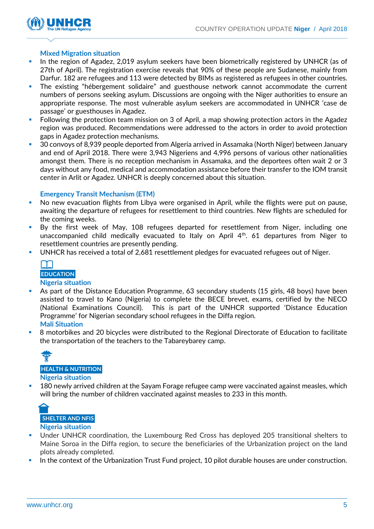

#### **Mixed Migration situation**

- In the region of Agadez, 2,019 asylum seekers have been biometrically registered by UNHCR (as of 27th of April). The registration exercise reveals that 90% of these people are Sudanese, mainly from Darfur. 182 are refugees and 113 were detected by BIMs as registered as refugees in other countries.
- The existing "hébergement solidaire" and guesthouse network cannot accommodate the current numbers of persons seeking asylum. Discussions are ongoing with the Niger authorities to ensure an appropriate response. The most vulnerable asylum seekers are accommodated in UNHCR 'case de passage' or guesthouses in Agadez.
- Following the protection team mission on 3 of April, a map showing protection actors in the Agadez region was produced. Recommendations were addressed to the actors in order to avoid protection gaps in Agadez protection mechanisms.
- 30 convoys of 8,939 people deported from Algeria arrived in Assamaka (North Niger) between January and end of April 2018. There were 3,943 Nigeriens and 4,996 persons of various other nationalities amongst them. There is no reception mechanism in Assamaka, and the deportees often wait 2 or 3 days without any food, medical and accommodation assistance before their transfer to the IOM transit center in Arlit or Agadez. UNHCR is deeply concerned about this situation.

#### **Emergency Transit Mechanism (ETM)**

- No new evacuation flights from Libya were organised in April, while the flights were put on pause, awaiting the departure of refugees for resettlement to third countries. New flights are scheduled for the coming weeks.
- By the first week of May, 108 refugees departed for resettlement from Niger, including one unaccompanied child medically evacuated to Italy on April  $4<sup>th</sup>$ . 61 departures from Niger to resettlement countries are presently pending.
- UNHCR has received a total of 2,681 resettlement pledges for evacuated refugees out of Niger.



#### **Nigeria situation**

- As part of the Distance Education Programme, 63 secondary students (15 girls, 48 boys) have been assisted to travel to Kano (Nigeria) to complete the BECE brevet, exams, certified by the NECO (National Examinations Council). This is part of the UNHCR supported 'Distance Education Programme' for Nigerian secondary school refugees in the Diffa region. **Mali Situation**
- 8 motorbikes and 20 bicycles were distributed to the Regional Directorate of Education to facilitate the transportation of the teachers to the Tabareybarey camp.



 180 newly arrived children at the Sayam Forage refugee camp were vaccinated against measles, which will bring the number of children vaccinated against measles to 233 in this month.



- Under UNHCR coordination, the Luxembourg Red Cross has deployed 205 transitional shelters to Maine Soroa in the Diffa region, to secure the beneficiaries of the Urbanization project on the land plots already completed.
- In the context of the Urbanization Trust Fund project, 10 pilot durable houses are under construction.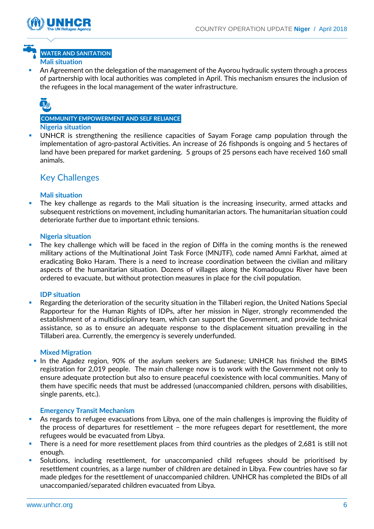

## **WATER AND SANITATION Mali situation**

 An Agreement on the delegation of the management of the Ayorou hydraulic system through a process of partnership with local authorities was completed in April. This mechanism ensures the inclusion of the refugees in the local management of the water infrastructure.



#### **COMMUNITY EMPOWERMENT AND SELF RELIANCE Nigeria situation**

UNHCR is strengthening the resilience capacities of Sayam Forage camp population through the implementation of agro-pastoral Activities. An increase of 26 fishponds is ongoing and 5 hectares of land have been prepared for market gardening. 5 groups of 25 persons each have received 160 small animals.

# Key Challenges

#### **Mali situation**

 The key challenge as regards to the Mali situation is the increasing insecurity, armed attacks and subsequent restrictions on movement, including humanitarian actors. The humanitarian situation could deteriorate further due to important ethnic tensions.

#### **Nigeria situation**

**The key challenge which will be faced in the region of Diffa in the coming months is the renewed** military actions of the Multinational Joint Task Force (MNJTF), code named Amni Farkhat, aimed at eradicating Boko Haram. There is a need to increase coordination between the civilian and military aspects of the humanitarian situation. Dozens of villages along the Komadougou River have been ordered to evacuate, but without protection measures in place for the civil population.

#### **IDP situation**

 Regarding the deterioration of the security situation in the Tillaberi region, the United Nations Special Rapporteur for the Human Rights of IDPs, after her mission in Niger, strongly recommended the establishment of a multidisciplinary team, which can support the Government, and provide technical assistance, so as to ensure an adequate response to the displacement situation prevailing in the Tillaberi area. Currently, the emergency is severely underfunded.

#### **Mixed Migration**

In the Agadez region, 90% of the asylum seekers are Sudanese; UNHCR has finished the BIMS registration for 2,019 people. The main challenge now is to work with the Government not only to ensure adequate protection but also to ensure peaceful coexistence with local communities. Many of them have specific needs that must be addressed (unaccompanied children, persons with disabilities, single parents, etc.).

#### **Emergency Transit Mechanism**

- As regards to refugee evacuations from Libya, one of the main challenges is improving the fluidity of the process of departures for resettlement – the more refugees depart for resettlement, the more refugees would be evacuated from Libya.
- There is a need for more resettlement places from third countries as the pledges of 2,681 is still not enough.
- Solutions, including resettlement, for unaccompanied child refugees should be prioritised by resettlement countries, as a large number of children are detained in Libya. Few countries have so far made pledges for the resettlement of unaccompanied children. UNHCR has completed the BIDs of all unaccompanied/separated children evacuated from Libya.